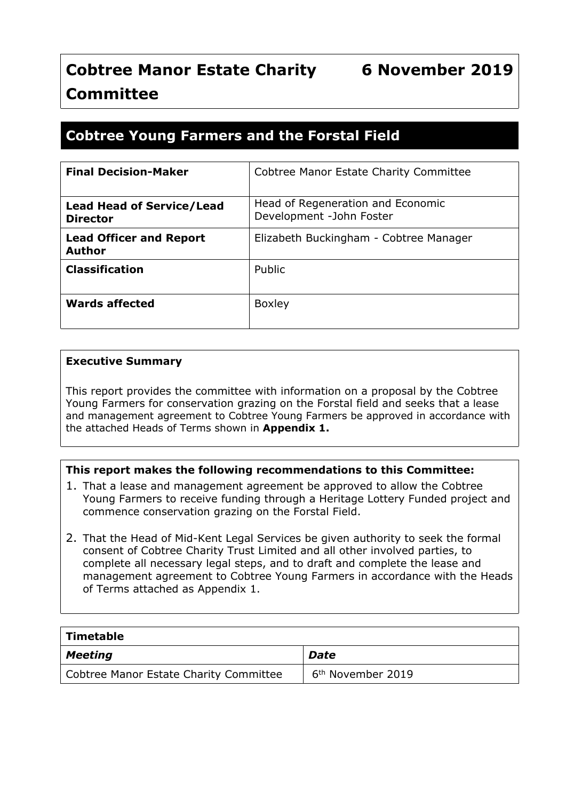# **Cobtree Manor Estate Charity 6 November 2019 Committee**

# **Cobtree Young Farmers and the Forstal Field**

| <b>Final Decision-Maker</b>                         | Cobtree Manor Estate Charity Committee                        |
|-----------------------------------------------------|---------------------------------------------------------------|
| <b>Lead Head of Service/Lead</b><br><b>Director</b> | Head of Regeneration and Economic<br>Development -John Foster |
| <b>Lead Officer and Report</b><br><b>Author</b>     | Elizabeth Buckingham - Cobtree Manager                        |
| <b>Classification</b>                               | Public                                                        |
| Wards affected                                      | <b>Boxley</b>                                                 |

#### **Executive Summary**

This report provides the committee with information on a proposal by the Cobtree Young Farmers for conservation grazing on the Forstal field and seeks that a lease and management agreement to Cobtree Young Farmers be approved in accordance with the attached Heads of Terms shown in **Appendix 1.**

#### **This report makes the following recommendations to this Committee:**

- 1. That a lease and management agreement be approved to allow the Cobtree Young Farmers to receive funding through a Heritage Lottery Funded project and commence conservation grazing on the Forstal Field.
- 2. That the Head of Mid-Kent Legal Services be given authority to seek the formal consent of Cobtree Charity Trust Limited and all other involved parties, to complete all necessary legal steps, and to draft and complete the lease and management agreement to Cobtree Young Farmers in accordance with the Heads of Terms attached as Appendix 1.

| Timetable                              |                               |
|----------------------------------------|-------------------------------|
| $\vert$ Meeting                        | <b>Date</b>                   |
| Cobtree Manor Estate Charity Committee | 6 <sup>th</sup> November 2019 |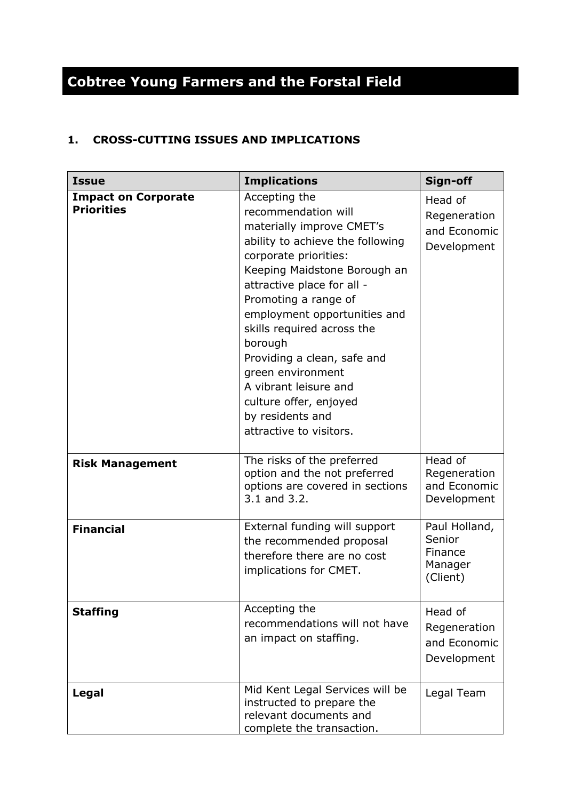# **Cobtree Young Farmers and the Forstal Field**

# **1. CROSS-CUTTING ISSUES AND IMPLICATIONS**

| <b>Issue</b>                                    | <b>Implications</b>                                                                                                                                                                                                                                                                                                                                                                                                                                 | Sign-off                                                  |
|-------------------------------------------------|-----------------------------------------------------------------------------------------------------------------------------------------------------------------------------------------------------------------------------------------------------------------------------------------------------------------------------------------------------------------------------------------------------------------------------------------------------|-----------------------------------------------------------|
| <b>Impact on Corporate</b><br><b>Priorities</b> | Accepting the<br>recommendation will<br>materially improve CMET's<br>ability to achieve the following<br>corporate priorities:<br>Keeping Maidstone Borough an<br>attractive place for all -<br>Promoting a range of<br>employment opportunities and<br>skills required across the<br>borough<br>Providing a clean, safe and<br>green environment<br>A vibrant leisure and<br>culture offer, enjoyed<br>by residents and<br>attractive to visitors. | Head of<br>Regeneration<br>and Economic<br>Development    |
| <b>Risk Management</b>                          | The risks of the preferred<br>option and the not preferred<br>options are covered in sections<br>3.1 and 3.2.                                                                                                                                                                                                                                                                                                                                       | Head of<br>Regeneration<br>and Economic<br>Development    |
| <b>Financial</b>                                | External funding will support<br>the recommended proposal<br>therefore there are no cost<br>implications for CMET.                                                                                                                                                                                                                                                                                                                                  | Paul Holland,<br>Senior<br>Finance<br>Manager<br>(Client) |
| <b>Staffing</b>                                 | Accepting the<br>recommendations will not have<br>an impact on staffing.                                                                                                                                                                                                                                                                                                                                                                            | Head of<br>Regeneration<br>and Economic<br>Development    |
| <b>Legal</b>                                    | Mid Kent Legal Services will be<br>instructed to prepare the<br>relevant documents and<br>complete the transaction.                                                                                                                                                                                                                                                                                                                                 | Legal Team                                                |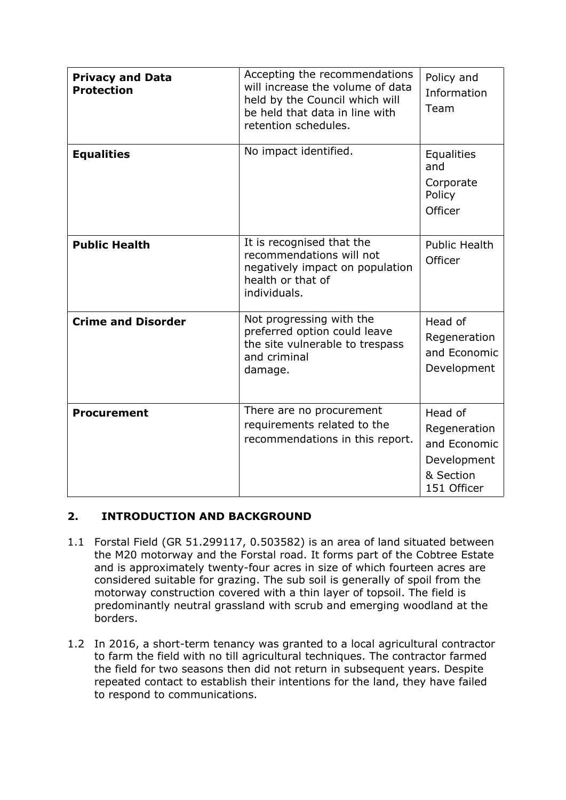| <b>Privacy and Data</b><br><b>Protection</b> | Accepting the recommendations<br>will increase the volume of data<br>held by the Council which will<br>be held that data in line with<br>retention schedules. | Policy and<br>Information<br>Team                                                  |
|----------------------------------------------|---------------------------------------------------------------------------------------------------------------------------------------------------------------|------------------------------------------------------------------------------------|
| <b>Equalities</b>                            | No impact identified.                                                                                                                                         | Equalities<br>and<br>Corporate<br>Policy<br>Officer                                |
| <b>Public Health</b>                         | It is recognised that the<br>recommendations will not<br>negatively impact on population<br>health or that of<br>individuals.                                 | <b>Public Health</b><br>Officer                                                    |
| <b>Crime and Disorder</b>                    | Not progressing with the<br>preferred option could leave<br>the site vulnerable to trespass<br>and criminal<br>damage.                                        | Head of<br>Regeneration<br>and Economic<br>Development                             |
| <b>Procurement</b>                           | There are no procurement<br>requirements related to the<br>recommendations in this report.                                                                    | Head of<br>Regeneration<br>and Economic<br>Development<br>& Section<br>151 Officer |

# **2. INTRODUCTION AND BACKGROUND**

- 1.1 Forstal Field (GR 51.299117, 0.503582) is an area of land situated between the M20 motorway and the Forstal road. It forms part of the Cobtree Estate and is approximately twenty-four acres in size of which fourteen acres are considered suitable for grazing. The sub soil is generally of spoil from the motorway construction covered with a thin layer of topsoil. The field is predominantly neutral grassland with scrub and emerging woodland at the borders.
- 1.2 In 2016, a short-term tenancy was granted to a local agricultural contractor to farm the field with no till agricultural techniques. The contractor farmed the field for two seasons then did not return in subsequent years. Despite repeated contact to establish their intentions for the land, they have failed to respond to communications.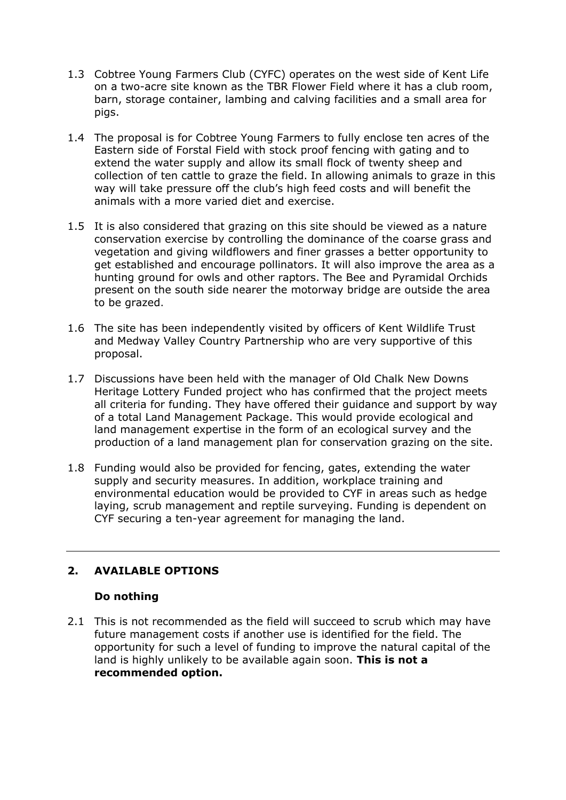- 1.3 Cobtree Young Farmers Club (CYFC) operates on the west side of Kent Life on a two-acre site known as the TBR Flower Field where it has a club room, barn, storage container, lambing and calving facilities and a small area for pigs.
- 1.4 The proposal is for Cobtree Young Farmers to fully enclose ten acres of the Eastern side of Forstal Field with stock proof fencing with gating and to extend the water supply and allow its small flock of twenty sheep and collection of ten cattle to graze the field. In allowing animals to graze in this way will take pressure off the club's high feed costs and will benefit the animals with a more varied diet and exercise.
- 1.5 It is also considered that grazing on this site should be viewed as a nature conservation exercise by controlling the dominance of the coarse grass and vegetation and giving wildflowers and finer grasses a better opportunity to get established and encourage pollinators. It will also improve the area as a hunting ground for owls and other raptors. The Bee and Pyramidal Orchids present on the south side nearer the motorway bridge are outside the area to be grazed.
- 1.6 The site has been independently visited by officers of Kent Wildlife Trust and Medway Valley Country Partnership who are very supportive of this proposal.
- 1.7 Discussions have been held with the manager of Old Chalk New Downs Heritage Lottery Funded project who has confirmed that the project meets all criteria for funding. They have offered their guidance and support by way of a total Land Management Package. This would provide ecological and land management expertise in the form of an ecological survey and the production of a land management plan for conservation grazing on the site.
- 1.8 Funding would also be provided for fencing, gates, extending the water supply and security measures. In addition, workplace training and environmental education would be provided to CYF in areas such as hedge laying, scrub management and reptile surveying. Funding is dependent on CYF securing a ten-year agreement for managing the land.

# **2. AVAILABLE OPTIONS**

#### **Do nothing**

2.1 This is not recommended as the field will succeed to scrub which may have future management costs if another use is identified for the field. The opportunity for such a level of funding to improve the natural capital of the land is highly unlikely to be available again soon. **This is not a recommended option.**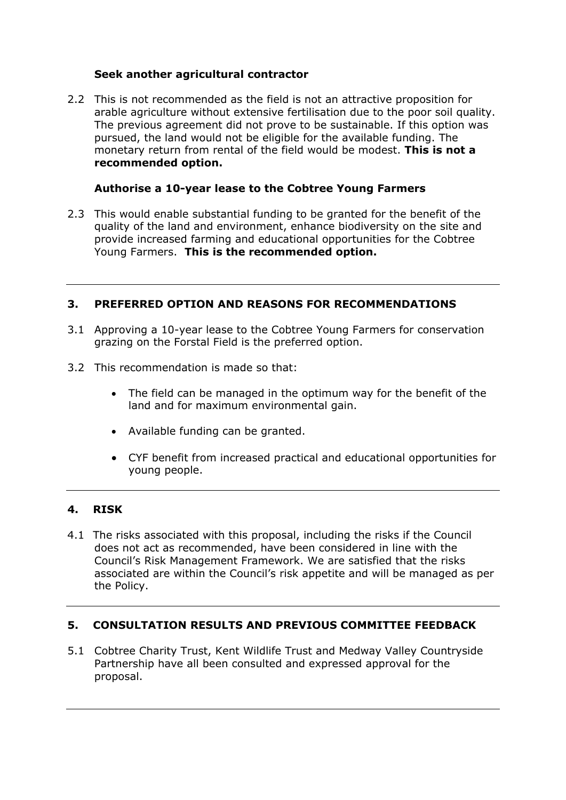#### **Seek another agricultural contractor**

2.2 This is not recommended as the field is not an attractive proposition for arable agriculture without extensive fertilisation due to the poor soil quality. The previous agreement did not prove to be sustainable. If this option was pursued, the land would not be eligible for the available funding. The monetary return from rental of the field would be modest. **This is not a recommended option.**

#### **Authorise a 10-year lease to the Cobtree Young Farmers**

2.3 This would enable substantial funding to be granted for the benefit of the quality of the land and environment, enhance biodiversity on the site and provide increased farming and educational opportunities for the Cobtree Young Farmers. **This is the recommended option.**

#### **3. PREFERRED OPTION AND REASONS FOR RECOMMENDATIONS**

- 3.1 Approving a 10-year lease to the Cobtree Young Farmers for conservation grazing on the Forstal Field is the preferred option.
- 3.2 This recommendation is made so that:
	- The field can be managed in the optimum way for the benefit of the land and for maximum environmental gain.
	- Available funding can be granted.
	- CYF benefit from increased practical and educational opportunities for young people.

# **4. RISK**

4.1 The risks associated with this proposal, including the risks if the Council does not act as recommended, have been considered in line with the Council's Risk Management Framework. We are satisfied that the risks associated are within the Council's risk appetite and will be managed as per the Policy.

# **5. CONSULTATION RESULTS AND PREVIOUS COMMITTEE FEEDBACK**

5.1 Cobtree Charity Trust, Kent Wildlife Trust and Medway Valley Countryside Partnership have all been consulted and expressed approval for the proposal.